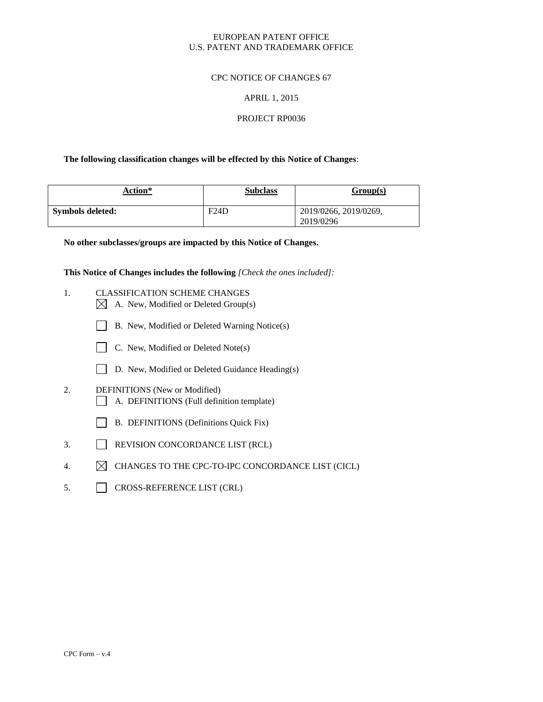## EUROPEAN PATENT OFFICE U.S. PATENT AND TRADEMARK OFFICE

## CPC NOTICE OF CHANGES 67

#### APRIL 1, 2015

#### PROJECT RP0036

#### **The following classification changes will be effected by this Notice of Changes**:

| Action*          | <b>Subclass</b> | Group(s)                           |
|------------------|-----------------|------------------------------------|
| Symbols deleted: | F24D            | 2019/0266, 2019/0269,<br>2019/0296 |

**No other subclasses/groups are impacted by this Notice of Changes.**

**This Notice of Changes includes the following** *[Check the ones included]:*

- 1. CLASSIFICATION SCHEME CHANGES
	- $\boxtimes$  A. New, Modified or Deleted Group(s)
	- B. New, Modified or Deleted Warning Notice(s)
	- C. New, Modified or Deleted Note(s)
	- D. New, Modified or Deleted Guidance Heading(s)
- 2. DEFINITIONS (New or Modified) A. DEFINITIONS (Full definition template)
	- B. DEFINITIONS (Definitions Quick Fix)
- 3. REVISION CONCORDANCE LIST (RCL)
- 4.  $\boxtimes$  CHANGES TO THE CPC-TO-IPC CONCORDANCE LIST (CICL)
- 5. CROSS-REFERENCE LIST (CRL)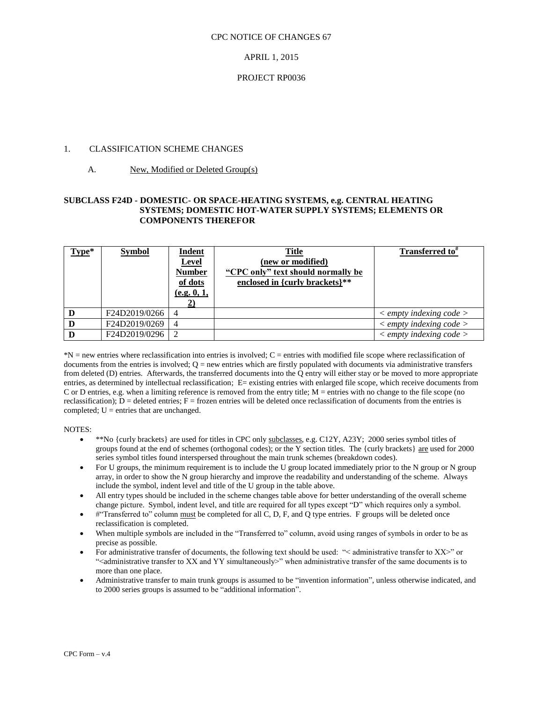#### CPC NOTICE OF CHANGES 67

## APRIL 1, 2015

## PROJECT RP0036

## 1. CLASSIFICATION SCHEME CHANGES

# A. New, Modified or Deleted Group(s)

## **SUBCLASS F24D - DOMESTIC- OR SPACE-HEATING SYSTEMS, e.g. CENTRAL HEATING SYSTEMS; DOMESTIC HOT-WATER SUPPLY SYSTEMS; ELEMENTS OR COMPONENTS THEREFOR**

| $Type*$ | <b>Symbol</b> | <b>Indent</b><br><b>Level</b><br><b>Number</b><br>of dots<br>(e.g. 0, 1, | <b>Title</b><br>(new or modified)<br>"CPC only" text should normally be<br>enclosed in {curly brackets}** | Transferred to <sup>#</sup>             |
|---------|---------------|--------------------------------------------------------------------------|-----------------------------------------------------------------------------------------------------------|-----------------------------------------|
|         | F24D2019/0266 | 4                                                                        |                                                                                                           | $\langle$ empty indexing code $\rangle$ |
|         | F24D2019/0269 | 4                                                                        |                                                                                                           | $\langle$ empty indexing code $\rangle$ |
|         | F24D2019/0296 | 2                                                                        |                                                                                                           | $\langle$ empty indexing code $\rangle$ |

\*N = new entries where reclassification into entries is involved; C = entries with modified file scope where reclassification of documents from the entries is involved;  $Q =$  new entries which are firstly populated with documents via administrative transfers from deleted (D) entries. Afterwards, the transferred documents into the Q entry will either stay or be moved to more appropriate entries, as determined by intellectual reclassification; E= existing entries with enlarged file scope, which receive documents from C or D entries, e.g. when a limiting reference is removed from the entry title; M = entries with no change to the file scope (no reclassification);  $D =$  deleted entries;  $F =$  frozen entries will be deleted once reclassification of documents from the entries is completed;  $U =$  entries that are unchanged.

NOTES:

- \*\*No {curly brackets} are used for titles in CPC only subclasses, e.g. C12Y, A23Y; 2000 series symbol titles of groups found at the end of schemes (orthogonal codes); or the Y section titles. The {curly brackets} are used for 2000 series symbol titles found interspersed throughout the main trunk schemes (breakdown codes).
- For U groups, the minimum requirement is to include the U group located immediately prior to the N group or N group array, in order to show the N group hierarchy and improve the readability and understanding of the scheme. Always include the symbol, indent level and title of the U group in the table above.
- All entry types should be included in the scheme changes table above for better understanding of the overall scheme change picture. Symbol, indent level, and title are required for all types except "D" which requires only a symbol.
- #"Transferred to" column must be completed for all C, D, F, and Q type entries. F groups will be deleted once reclassification is completed.
- When multiple symbols are included in the "Transferred to" column, avoid using ranges of symbols in order to be as precise as possible.
- For administrative transfer of documents, the following text should be used: "< administrative transfer to XX>" or "<administrative transfer to XX and YY simultaneously>" when administrative transfer of the same documents is to more than one place.
- Administrative transfer to main trunk groups is assumed to be "invention information", unless otherwise indicated, and to 2000 series groups is assumed to be "additional information".